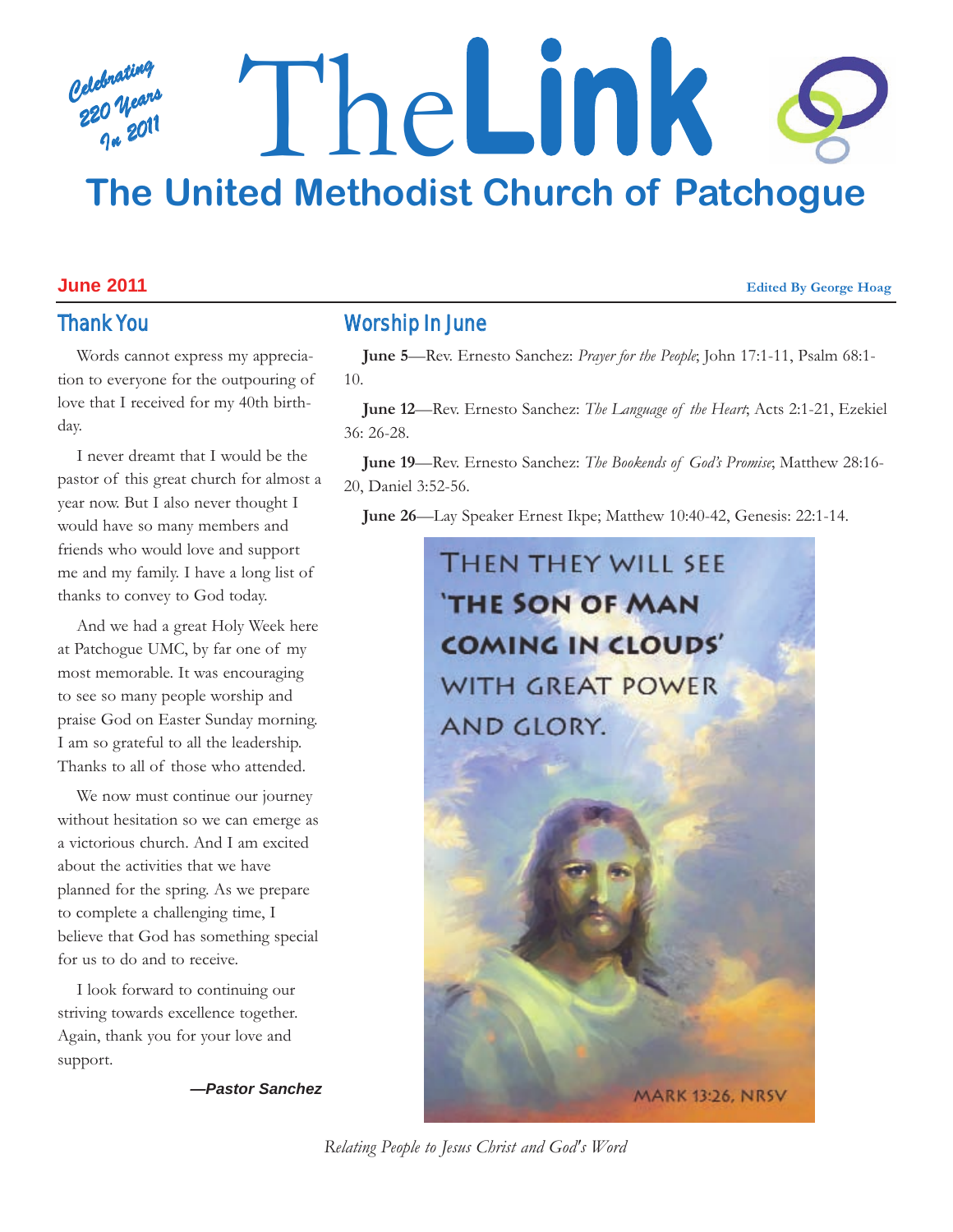### *Celebrating 220 Years In 2011* The**Link The United Methodist Church of Patchogue**

#### **June 2011 Edited By George Hoag**

#### Thank You

Words cannot express my appreciation to everyone for the outpouring of love that I received for my 40th birthday.

I never dreamt that I would be the pastor of this great church for almost a year now. But I also never thought I would have so many members and friends who would love and support me and my family. I have a long list of thanks to convey to God today.

And we had a great Holy Week here at Patchogue UMC, by far one of my most memorable. It was encouraging to see so many people worship and praise God on Easter Sunday morning. I am so grateful to all the leadership. Thanks to all of those who attended.

We now must continue our journey without hesitation so we can emerge as a victorious church. And I am excited about the activities that we have planned for the spring. As we prepare to complete a challenging time, I believe that God has something special for us to do and to receive.

I look forward to continuing our striving towards excellence together. Again, thank you for your love and support.

*—Pastor Sanchez*

#### Worship In June

**June 5**—Rev. Ernesto Sanchez: *Prayer for the People*; John 17:1-11, Psalm 68:1- 10.

**June 12**—Rev. Ernesto Sanchez: *The Language of the Heart*; Acts 2:1-21, Ezekiel 36: 26-28.

**June 19**—Rev. Ernesto Sanchez: *The Bookends of God's Promise*; Matthew 28:16- 20, Daniel 3:52-56.

**June 26**—Lay Speaker Ernest Ikpe; Matthew 10:40-42, Genesis: 22:1-14.



*Relating People to Jesus Christ and God's Word*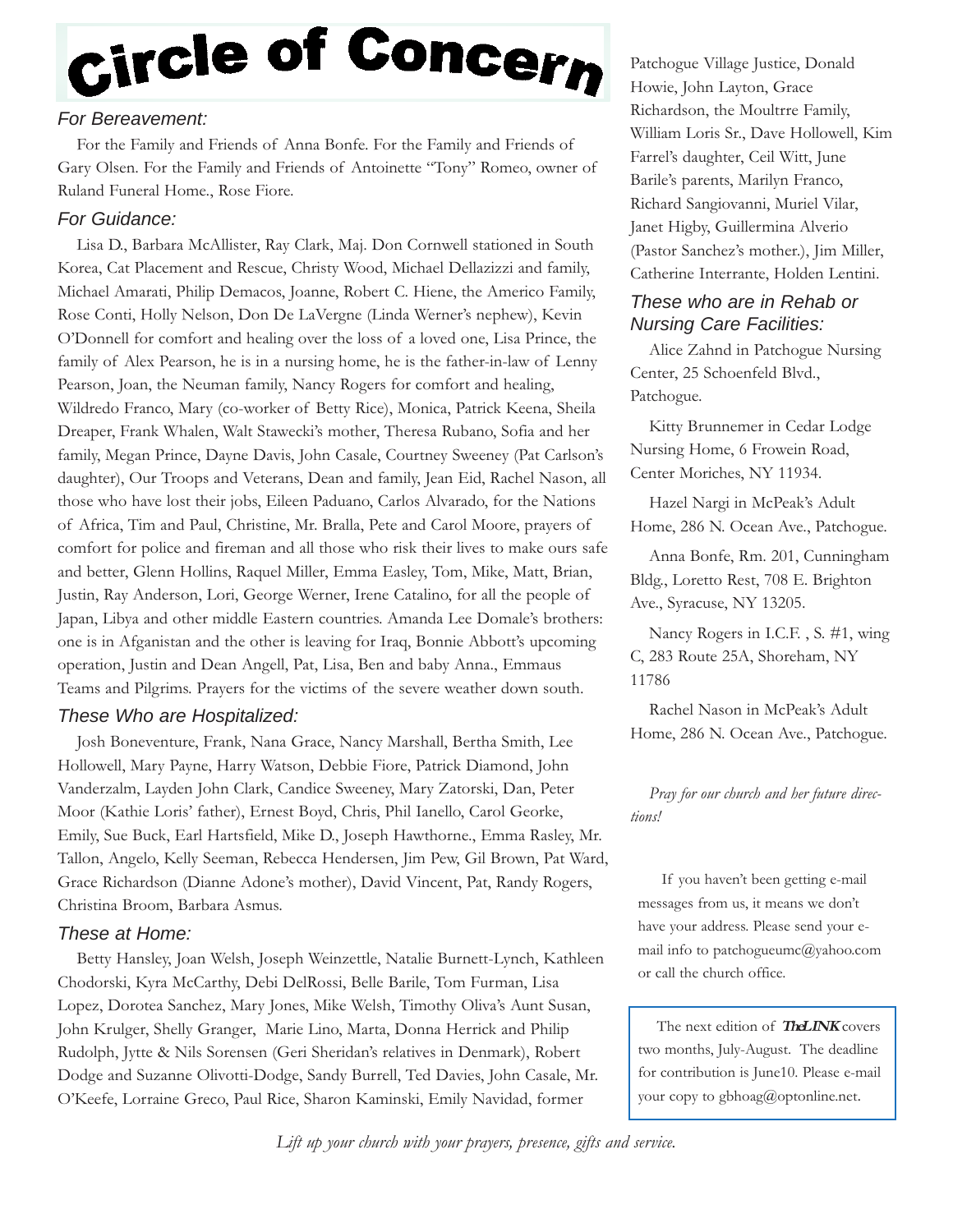# Circle of Concern

#### *For Bereavement:*

For the Family and Friends of Anna Bonfe. For the Family and Friends of Gary Olsen. For the Family and Friends of Antoinette "Tony" Romeo, owner of Ruland Funeral Home., Rose Fiore.

#### *For Guidance:*

Lisa D., Barbara McAllister, Ray Clark, Maj. Don Cornwell stationed in South Korea, Cat Placement and Rescue, Christy Wood, Michael Dellazizzi and family, Michael Amarati, Philip Demacos, Joanne, Robert C. Hiene, the Americo Family, Rose Conti, Holly Nelson, Don De LaVergne (Linda Werner's nephew), Kevin O'Donnell for comfort and healing over the loss of a loved one, Lisa Prince, the family of Alex Pearson, he is in a nursing home, he is the father-in-law of Lenny Pearson, Joan, the Neuman family, Nancy Rogers for comfort and healing, Wildredo Franco, Mary (co-worker of Betty Rice), Monica, Patrick Keena, Sheila Dreaper, Frank Whalen, Walt Stawecki's mother, Theresa Rubano, Sofia and her family, Megan Prince, Dayne Davis, John Casale, Courtney Sweeney (Pat Carlson's daughter), Our Troops and Veterans, Dean and family, Jean Eid, Rachel Nason, all those who have lost their jobs, Eileen Paduano, Carlos Alvarado, for the Nations of Africa, Tim and Paul, Christine, Mr. Bralla, Pete and Carol Moore, prayers of comfort for police and fireman and all those who risk their lives to make ours safe and better, Glenn Hollins, Raquel Miller, Emma Easley, Tom, Mike, Matt, Brian, Justin, Ray Anderson, Lori, George Werner, Irene Catalino, for all the people of Japan, Libya and other middle Eastern countries. Amanda Lee Domale's brothers: one is in Afganistan and the other is leaving for Iraq, Bonnie Abbott's upcoming operation, Justin and Dean Angell, Pat, Lisa, Ben and baby Anna., Emmaus Teams and Pilgrims. Prayers for the victims of the severe weather down south.

#### *These Who are Hospitalized:*

Josh Boneventure, Frank, Nana Grace, Nancy Marshall, Bertha Smith, Lee Hollowell, Mary Payne, Harry Watson, Debbie Fiore, Patrick Diamond, John Vanderzalm, Layden John Clark, Candice Sweeney, Mary Zatorski, Dan, Peter Moor (Kathie Loris' father), Ernest Boyd, Chris, Phil Ianello, Carol Georke, Emily, Sue Buck, Earl Hartsfield, Mike D., Joseph Hawthorne., Emma Rasley, Mr. Tallon, Angelo, Kelly Seeman, Rebecca Hendersen, Jim Pew, Gil Brown, Pat Ward, Grace Richardson (Dianne Adone's mother), David Vincent, Pat, Randy Rogers, Christina Broom, Barbara Asmus.

#### *These at Home:*

Betty Hansley, Joan Welsh, Joseph Weinzettle, Natalie Burnett-Lynch, Kathleen Chodorski, Kyra McCarthy, Debi DelRossi, Belle Barile, Tom Furman, Lisa Lopez, Dorotea Sanchez, Mary Jones, Mike Welsh, Timothy Oliva's Aunt Susan, John Krulger, Shelly Granger, Marie Lino, Marta, Donna Herrick and Philip Rudolph, Jytte & Nils Sorensen (Geri Sheridan's relatives in Denmark), Robert Dodge and Suzanne Olivotti-Dodge, Sandy Burrell, Ted Davies, John Casale, Mr. O'Keefe, Lorraine Greco, Paul Rice, Sharon Kaminski, Emily Navidad, former

Patchogue Village Justice, Donald Howie, John Layton, Grace Richardson, the Moultrre Family, William Loris Sr., Dave Hollowell, Kim Farrel's daughter, Ceil Witt, June Barile's parents, Marilyn Franco, Richard Sangiovanni, Muriel Vilar, Janet Higby, Guillermina Alverio (Pastor Sanchez's mother.), Jim Miller, Catherine Interrante, Holden Lentini.

#### *These who are in Rehab or Nursing Care Facilities:*

Alice Zahnd in Patchogue Nursing Center, 25 Schoenfeld Blvd., Patchogue.

Kitty Brunnemer in Cedar Lodge Nursing Home, 6 Frowein Road, Center Moriches, NY 11934.

Hazel Nargi in McPeak's Adult Home, 286 N. Ocean Ave., Patchogue.

Anna Bonfe, Rm. 201, Cunningham Bldg., Loretto Rest, 708 E. Brighton Ave., Syracuse, NY 13205.

Nancy Rogers in I.C.F. , S. #1, wing C, 283 Route 25A, Shoreham, NY 11786

Rachel Nason in McPeak's Adult Home, 286 N. Ocean Ave., Patchogue.

*Pray for our church and her future directions!*

If you haven't been getting e-mail messages from us, it means we don't have your address. Please send your email info to patchogueumc@yahoo.com or call the church office.

The next edition of **TheLINK** covers two months, July-August. The deadline for contribution is June10. Please e-mail your copy to gbhoag@optonline.net.

*Lift up your church with your prayers, presence, gifts and service.*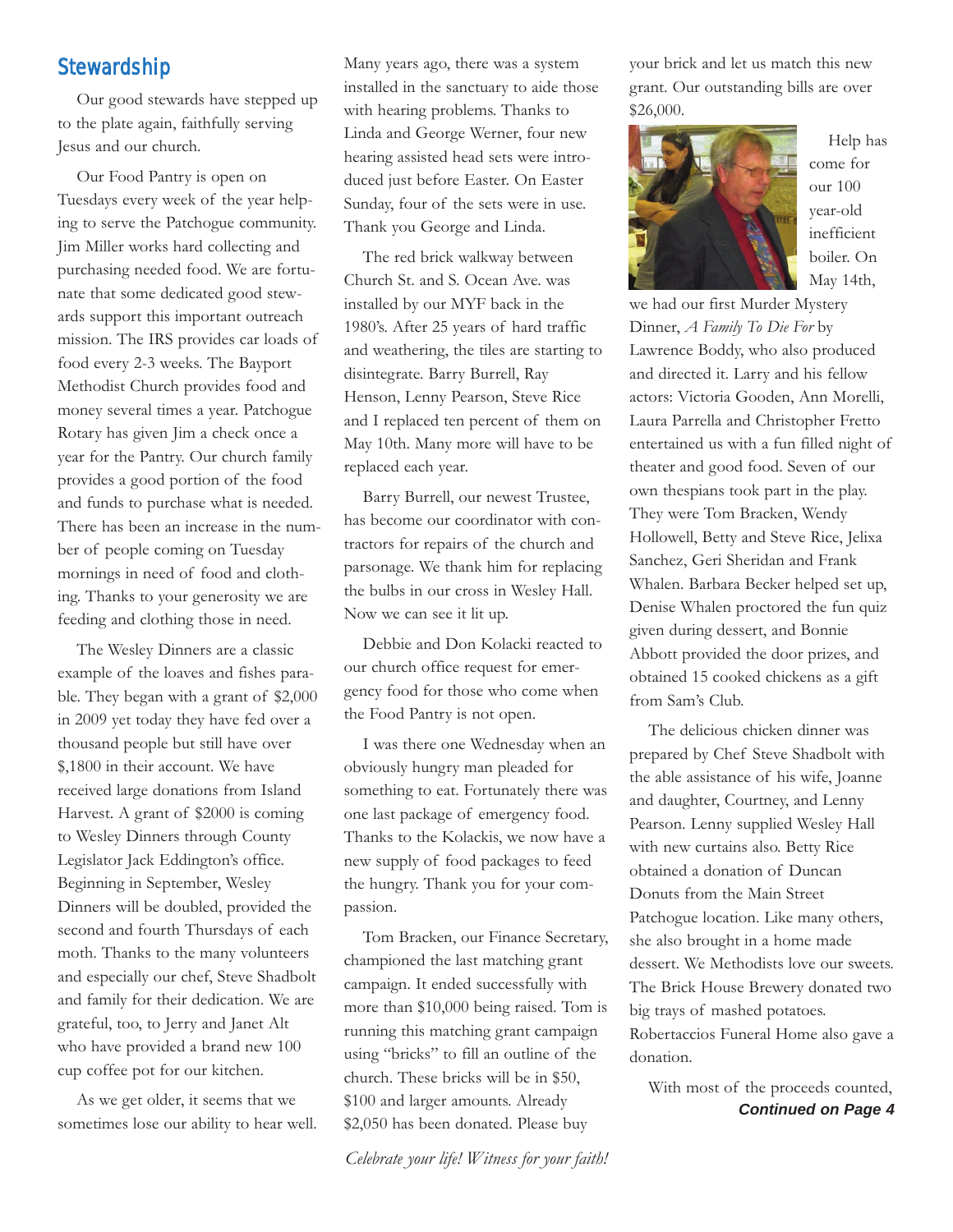#### **Stewardship**

Our good stewards have stepped up to the plate again, faithfully serving Jesus and our church.

Our Food Pantry is open on Tuesdays every week of the year helping to serve the Patchogue community. Jim Miller works hard collecting and purchasing needed food. We are fortunate that some dedicated good stewards support this important outreach mission. The IRS provides car loads of food every 2-3 weeks. The Bayport Methodist Church provides food and money several times a year. Patchogue Rotary has given Jim a check once a year for the Pantry. Our church family provides a good portion of the food and funds to purchase what is needed. There has been an increase in the number of people coming on Tuesday mornings in need of food and clothing. Thanks to your generosity we are feeding and clothing those in need.

The Wesley Dinners are a classic example of the loaves and fishes parable. They began with a grant of \$2,000 in 2009 yet today they have fed over a thousand people but still have over \$,1800 in their account. We have received large donations from Island Harvest. A grant of \$2000 is coming to Wesley Dinners through County Legislator Jack Eddington's office. Beginning in September, Wesley Dinners will be doubled, provided the second and fourth Thursdays of each moth. Thanks to the many volunteers and especially our chef, Steve Shadbolt and family for their dedication. We are grateful, too, to Jerry and Janet Alt who have provided a brand new 100 cup coffee pot for our kitchen.

As we get older, it seems that we sometimes lose our ability to hear well. Many years ago, there was a system installed in the sanctuary to aide those with hearing problems. Thanks to Linda and George Werner, four new hearing assisted head sets were introduced just before Easter. On Easter Sunday, four of the sets were in use. Thank you George and Linda.

The red brick walkway between Church St. and S. Ocean Ave. was installed by our MYF back in the 1980's. After 25 years of hard traffic and weathering, the tiles are starting to disintegrate. Barry Burrell, Ray Henson, Lenny Pearson, Steve Rice and I replaced ten percent of them on May 10th. Many more will have to be replaced each year.

Barry Burrell, our newest Trustee, has become our coordinator with contractors for repairs of the church and parsonage. We thank him for replacing the bulbs in our cross in Wesley Hall. Now we can see it lit up.

Debbie and Don Kolacki reacted to our church office request for emergency food for those who come when the Food Pantry is not open.

I was there one Wednesday when an obviously hungry man pleaded for something to eat. Fortunately there was one last package of emergency food. Thanks to the Kolackis, we now have a new supply of food packages to feed the hungry. Thank you for your compassion.

Tom Bracken, our Finance Secretary, championed the last matching grant campaign. It ended successfully with more than \$10,000 being raised. Tom is running this matching grant campaign using "bricks" to fill an outline of the church. These bricks will be in \$50, \$100 and larger amounts. Already \$2,050 has been donated. Please buy

*Celebrate your life! Witness for your faith!*

your brick and let us match this new grant. Our outstanding bills are over \$26,000.



Help has come for our 100 year-old inefficient boiler. On May 14th,

we had our first Murder Mystery Dinner, *A Family To Die For* by Lawrence Boddy, who also produced and directed it. Larry and his fellow actors: Victoria Gooden, Ann Morelli, Laura Parrella and Christopher Fretto entertained us with a fun filled night of theater and good food. Seven of our own thespians took part in the play. They were Tom Bracken, Wendy Hollowell, Betty and Steve Rice, Jelixa Sanchez, Geri Sheridan and Frank Whalen. Barbara Becker helped set up, Denise Whalen proctored the fun quiz given during dessert, and Bonnie Abbott provided the door prizes, and obtained 15 cooked chickens as a gift from Sam's Club.

The delicious chicken dinner was prepared by Chef Steve Shadbolt with the able assistance of his wife, Joanne and daughter, Courtney, and Lenny Pearson. Lenny supplied Wesley Hall with new curtains also. Betty Rice obtained a donation of Duncan Donuts from the Main Street Patchogue location. Like many others, she also brought in a home made dessert. We Methodists love our sweets. The Brick House Brewery donated two big trays of mashed potatoes. Robertaccios Funeral Home also gave a donation.

*Continued on Page 4* With most of the proceeds counted,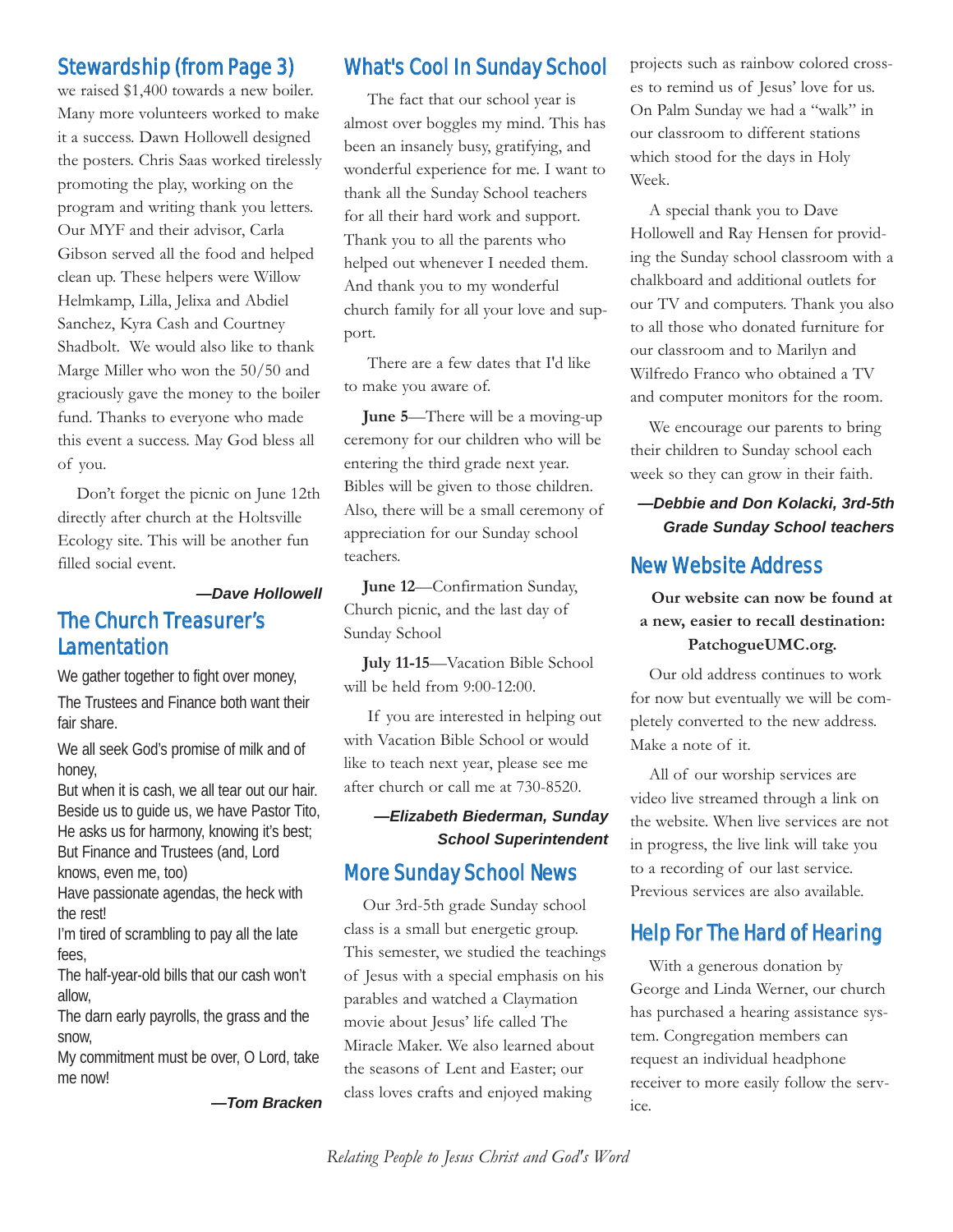#### Stewardship (from Page 3)

we raised \$1,400 towards a new boiler. Many more volunteers worked to make it a success. Dawn Hollowell designed the posters. Chris Saas worked tirelessly promoting the play, working on the program and writing thank you letters. Our MYF and their advisor, Carla Gibson served all the food and helped clean up. These helpers were Willow Helmkamp, Lilla, Jelixa and Abdiel Sanchez, Kyra Cash and Courtney Shadbolt. We would also like to thank Marge Miller who won the 50/50 and graciously gave the money to the boiler fund. Thanks to everyone who made this event a success. May God bless all of you.

Don't forget the picnic on June 12th directly after church at the Holtsville Ecology site. This will be another fun filled social event.

#### *—Dave Hollowell*

#### The Church Treasurer's **Lamentation**

We gather together to fight over money, The Trustees and Finance both want their fair share.

We all seek God's promise of milk and of honey,

But when it is cash, we all tear out our hair. Beside us to guide us, we have Pastor Tito, He asks us for harmony, knowing it's best; But Finance and Trustees (and, Lord knows, even me, too)

Have passionate agendas, the heck with

the rest! I'm tired of scrambling to pay all the late fees,

The half-year-old bills that our cash won't allow,

The darn early payrolls, the grass and the snow,

My commitment must be over, O Lord, take me now!

*—Tom Bracken*

#### What's Cool In Sunday School

The fact that our school year is almost over boggles my mind. This has been an insanely busy, gratifying, and wonderful experience for me. I want to thank all the Sunday School teachers for all their hard work and support. Thank you to all the parents who helped out whenever I needed them. And thank you to my wonderful church family for all your love and support.

There are a few dates that I'd like to make you aware of.

**June 5**—There will be a moving-up ceremony for our children who will be entering the third grade next year. Bibles will be given to those children. Also, there will be a small ceremony of appreciation for our Sunday school teachers.

**June 12**—Confirmation Sunday, Church picnic, and the last day of Sunday School

**July 11-15**—Vacation Bible School will be held from 9:00-12:00.

If you are interested in helping out with Vacation Bible School or would like to teach next year, please see me after church or call me at 730-8520.

#### *—Elizabeth Biederman, Sunday School Superintendent*

#### More Sunday School News

Our 3rd-5th grade Sunday school class is a small but energetic group. This semester, we studied the teachings of Jesus with a special emphasis on his parables and watched a Claymation movie about Jesus' life called The Miracle Maker. We also learned about the seasons of Lent and Easter; our class loves crafts and enjoyed making

projects such as rainbow colored crosses to remind us of Jesus' love for us. On Palm Sunday we had a "walk" in our classroom to different stations which stood for the days in Holy Week.

A special thank you to Dave Hollowell and Ray Hensen for providing the Sunday school classroom with a chalkboard and additional outlets for our TV and computers. Thank you also to all those who donated furniture for our classroom and to Marilyn and Wilfredo Franco who obtained a TV and computer monitors for the room.

We encourage our parents to bring their children to Sunday school each week so they can grow in their faith.

*—Debbie and Don Kolacki, 3rd-5th Grade Sunday School teachers*

#### New Website Address

**Our website can now be found at a new, easier to recall destination: PatchogueUMC.org.**

Our old address continues to work for now but eventually we will be completely converted to the new address. Make a note of it.

All of our worship services are video live streamed through a link on the website. When live services are not in progress, the live link will take you to a recording of our last service. Previous services are also available.

#### Help For The Hard of Hearing

With a generous donation by George and Linda Werner, our church has purchased a hearing assistance system. Congregation members can request an individual headphone receiver to more easily follow the service.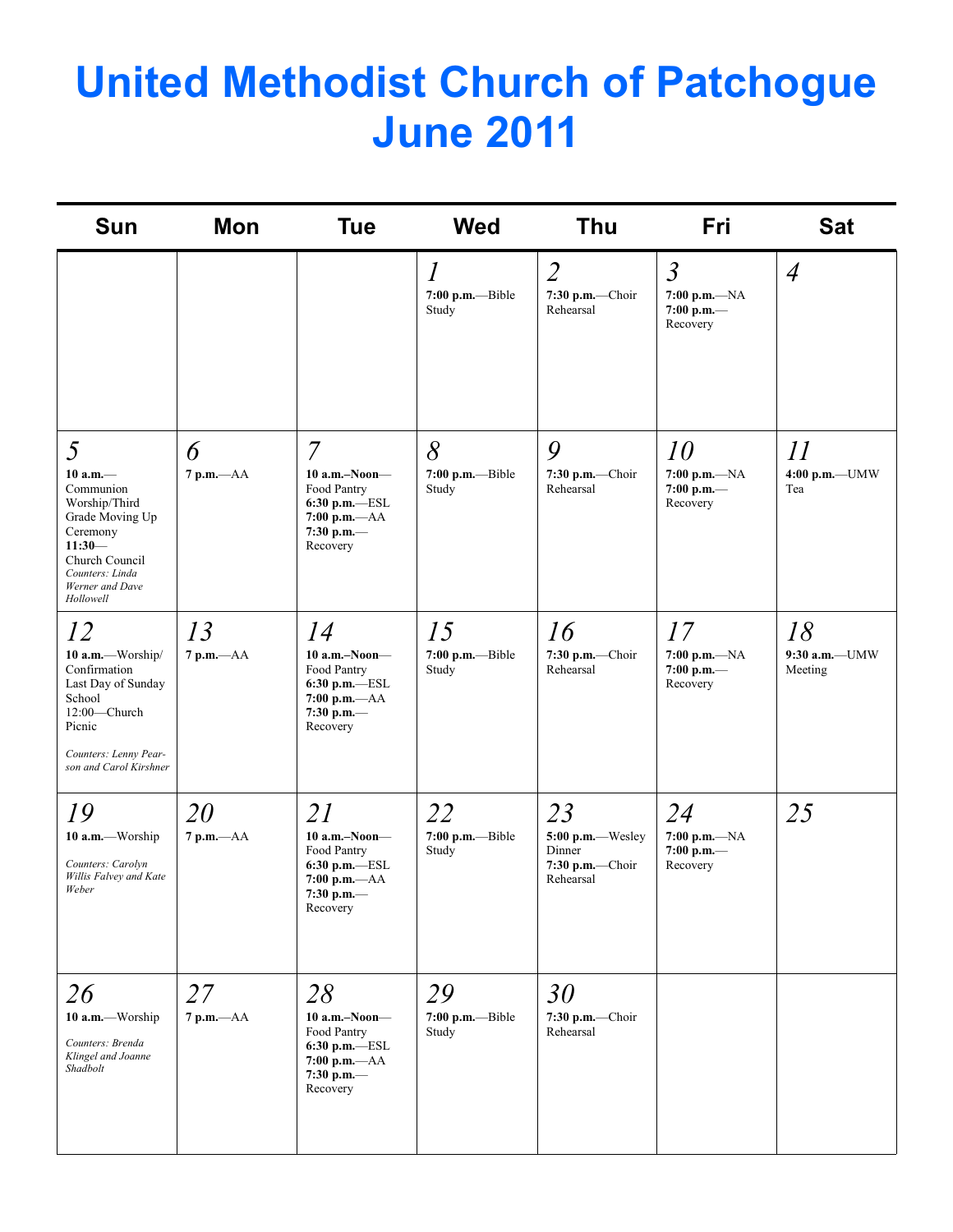## **United Methodist Church of Patchogue June 2011**

| <b>Sun</b>                                                                                                                                                     | <b>Mon</b>           | <b>Tue</b>                                                                                                              | <b>Wed</b>                                | Thu                                                              | Fri                                                           | <b>Sat</b>                       |
|----------------------------------------------------------------------------------------------------------------------------------------------------------------|----------------------|-------------------------------------------------------------------------------------------------------------------------|-------------------------------------------|------------------------------------------------------------------|---------------------------------------------------------------|----------------------------------|
|                                                                                                                                                                |                      |                                                                                                                         | $\mathcal{I}$<br>7:00 p.m.-Bible<br>Study | $\overline{2}$<br>$7:30$ p.m.-Choir<br>Rehearsal                 | $\mathfrak{Z}$<br>$7:00$ p.m.— $NA$<br>7:00 p.m.—<br>Recovery | $\overline{4}$                   |
| 5<br>$10 a.m.$ —<br>Communion<br>Worship/Third<br>Grade Moving Up<br>Ceremony<br>$11:30-$<br>Church Council<br>Counters: Linda<br>Werner and Dave<br>Hollowell | 6<br>$7 p.m. -AA$    | $\overline{7}$<br>$10$ a.m.-Noon-<br>Food Pantry<br>$6:30$ p.m. $-$ ESL<br>$7:00 p.m. -AA$<br>7:30 p.m. $-$<br>Recovery | 8<br>$7:00$ p.m.---Bible<br>Study         | 9<br>7:30 p.m.-Choir<br>Rehearsal                                | 10<br>7:00 p.m.-NA<br>7:00 p.m.—<br>Recovery                  | 11<br>4:00 p.m.-UMW<br>Tea       |
| 12<br>10 a.m.-Worship/<br>Confirmation<br>Last Day of Sunday<br>School<br>12:00-Church<br>Picnic<br>Counters: Lenny Pear-<br>son and Carol Kirshner            | 13<br>$7 p.m. -AA$   | 14<br>$10$ a.m.-Noon-<br>Food Pantry<br>$6:30$ p.m.-ESL<br>$7:00 p.m. -AA$<br>7:30 p.m.-<br>Recovery                    | 15<br>$7:00$ p.m.---Bible<br>Study        | 16<br>7:30 p.m.-Choir<br>Rehearsal                               | 17<br>$7:00 p.m. -NA$<br>7:00 p.m.—<br>Recovery               | 18<br>$9:30$ a.m.-UMW<br>Meeting |
| 19<br>10 a.m.-Worship<br>Counters: Carolyn<br>Willis Falvey and Kate<br>Weber                                                                                  | 20<br>$7 p.m. -AA$   | 21<br>$10$ a.m.-Noon-<br>Food Pantry<br>6:30 p.m.-ESL<br>7:00 p.m. $-AA$<br>7:30 p.m. $-$<br>Recovery                   | 22<br>$7:00$ p.m.---Bible<br>Study        | 23<br>5:00 p.m.-Wesley<br>Dinner<br>7:30 p.m.-Choir<br>Rehearsal | 24<br>7:00 p.m.— $NA$<br>7:00 p.m.—<br>Recovery               | 25                               |
| 26<br>10 a.m.-Worship<br>Counters: Brenda<br>Klingel and Joanne<br>Shadbolt                                                                                    | 27<br>$7$ p.m. $-AA$ | 28<br>$10$ a.m.–Noon–<br>Food Pantry<br>6:30 p.m.-ESL<br>$7:00$ p.m. $-AA$<br>7:30 p.m. $-$<br>Recovery                 | 29<br>$7:00$ p.m.---Bible<br>Study        | 30<br>$7:30$ p.m.-Choir<br>Rehearsal                             |                                                               |                                  |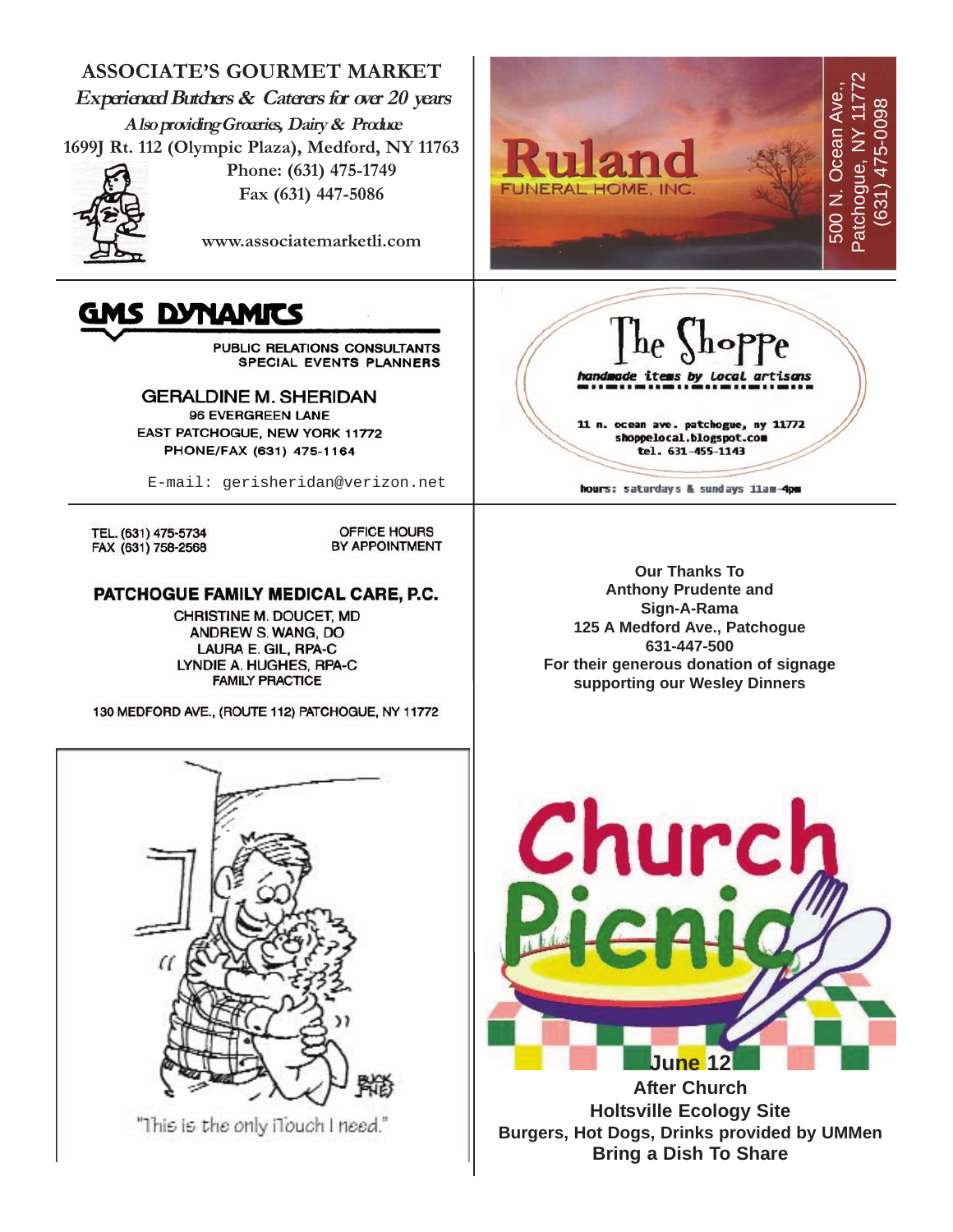

"This is the only iTouch I need."

**June 12 After Church Holtsville Ecology Site Burgers, Hot Dogs, Drinks provided by UMMen Bring a Dish To Share**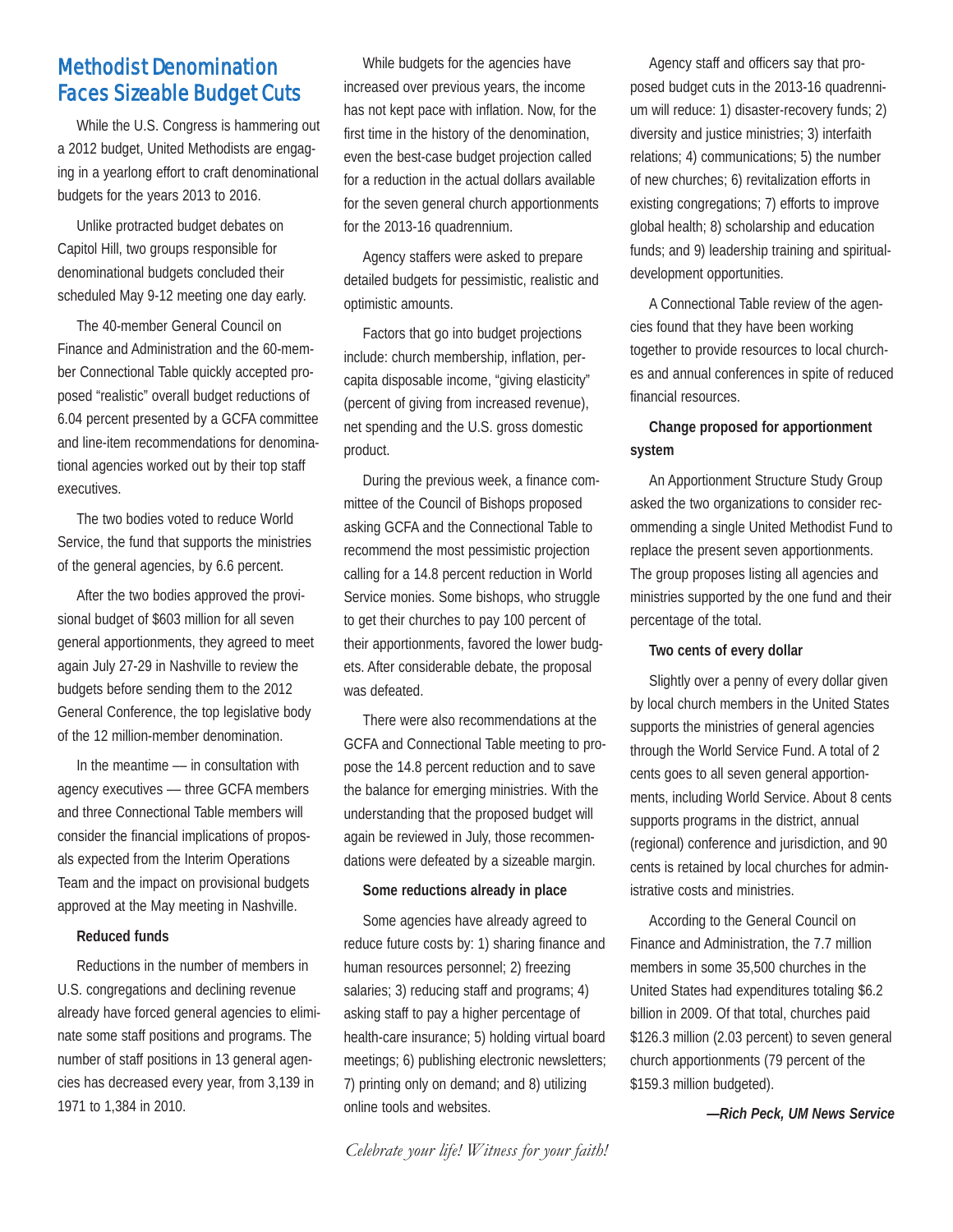#### Methodist Denomination Faces Sizeable Budget Cuts

While the U.S. Congress is hammering out a 2012 budget, United Methodists are engaging in a yearlong effort to craft denominational budgets for the years 2013 to 2016.

Unlike protracted budget debates on Capitol Hill, two groups responsible for denominational budgets concluded their scheduled May 9-12 meeting one day early.

The 40-member General Council on Finance and Administration and the 60-member Connectional Table quickly accepted proposed "realistic" overall budget reductions of 6.04 percent presented by a GCFA committee and line-item recommendations for denominational agencies worked out by their top staff executives.

The two bodies voted to reduce World Service, the fund that supports the ministries of the general agencies, by 6.6 percent.

After the two bodies approved the provisional budget of \$603 million for all seven general apportionments, they agreed to meet again July 27-29 in Nashville to review the budgets before sending them to the 2012 General Conference, the top legislative body of the 12 million-member denomination.

In the meantime –– in consultation with agency executives –– three GCFA members and three Connectional Table members will consider the financial implications of proposals expected from the Interim Operations Team and the impact on provisional budgets approved at the May meeting in Nashville.

#### **Reduced funds**

Reductions in the number of members in U.S. congregations and declining revenue already have forced general agencies to eliminate some staff positions and programs. The number of staff positions in 13 general agencies has decreased every year, from 3,139 in 1971 to 1,384 in 2010.

While budgets for the agencies have increased over previous years, the income has not kept pace with inflation. Now, for the first time in the history of the denomination, even the best-case budget projection called for a reduction in the actual dollars available for the seven general church apportionments for the 2013-16 quadrennium.

Agency staffers were asked to prepare detailed budgets for pessimistic, realistic and optimistic amounts.

Factors that go into budget projections include: church membership, inflation, percapita disposable income, "giving elasticity" (percent of giving from increased revenue), net spending and the U.S. gross domestic product.

During the previous week, a finance committee of the Council of Bishops proposed asking GCFA and the Connectional Table to recommend the most pessimistic projection calling for a 14.8 percent reduction in World Service monies. Some bishops, who struggle to get their churches to pay 100 percent of their apportionments, favored the lower budgets. After considerable debate, the proposal was defeated.

There were also recommendations at the GCFA and Connectional Table meeting to propose the 14.8 percent reduction and to save the balance for emerging ministries. With the understanding that the proposed budget will again be reviewed in July, those recommendations were defeated by a sizeable margin.

#### **Some reductions already in place**

Some agencies have already agreed to reduce future costs by: 1) sharing finance and human resources personnel; 2) freezing salaries; 3) reducing staff and programs; 4) asking staff to pay a higher percentage of health-care insurance; 5) holding virtual board meetings; 6) publishing electronic newsletters; 7) printing only on demand; and 8) utilizing online tools and websites.

*Celebrate your life! Witness for your faith!*

Agency staff and officers say that proposed budget cuts in the 2013-16 quadrennium will reduce: 1) disaster-recovery funds; 2) diversity and justice ministries; 3) interfaith relations; 4) communications; 5) the number of new churches; 6) revitalization efforts in existing congregations; 7) efforts to improve global health; 8) scholarship and education funds; and 9) leadership training and spiritualdevelopment opportunities.

A Connectional Table review of the agencies found that they have been working together to provide resources to local churches and annual conferences in spite of reduced financial resources.

#### **Change proposed for apportionment system**

An Apportionment Structure Study Group asked the two organizations to consider recommending a single United Methodist Fund to replace the present seven apportionments. The group proposes listing all agencies and ministries supported by the one fund and their percentage of the total.

#### **Two cents of every dollar**

Slightly over a penny of every dollar given by local church members in the United States supports the ministries of general agencies through the World Service Fund. A total of 2 cents goes to all seven general apportionments, including World Service. About 8 cents supports programs in the district, annual (regional) conference and jurisdiction, and 90 cents is retained by local churches for administrative costs and ministries.

According to the General Council on Finance and Administration, the 7.7 million members in some 35,500 churches in the United States had expenditures totaling \$6.2 billion in 2009. Of that total, churches paid \$126.3 million (2.03 percent) to seven general church apportionments (79 percent of the \$159.3 million budgeted).

*—Rich Peck, UM News Service*